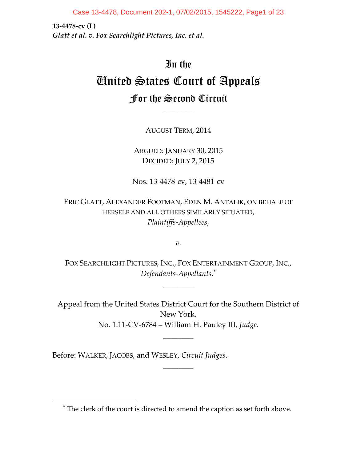Case 13-4478, Document 202-1, 07/02/2015, 1545222, Page1 of 23

**13‐4478‐cv (L)** *Glatt et al. v. Fox Searchlight Pictures, Inc. et al.*

# In the United States Court of Appeals For the Second Circuit

AUGUST TERM, 2014

\_\_\_\_\_\_\_\_

ARGUED: JANUARY 30, 2015 DECIDED: JULY 2, 2015

Nos. 13‐4478‐cv, 13‐4481‐cv

ERIC GLATT, ALEXANDER FOOTMAN, EDEN M. ANTALIK, ON BEHALF OF HERSELF AND ALL OTHERS SIMILARLY SITUATED, *Plaintiffs‐Appellees*,

*v.*

FOX SEARCHLIGHT PICTURES, INC., FOX ENTERTAINMENT GROUP, INC., *Defendants‐Appellants*.

 $\overline{\phantom{a}}$ 

Appeal from the United States District Court for the Southern District of New York. No. 1:11‐CV‐6784 – William H. Pauley III, *Judge*.

\_\_\_\_\_\_\_\_

\_\_\_\_\_\_\_\_

Before: WALKER, JACOBS, and WESLEY, *Circuit Judges*.

 $\overline{\phantom{a}}$ 

The clerk of the court is directed to amend the caption as set forth above.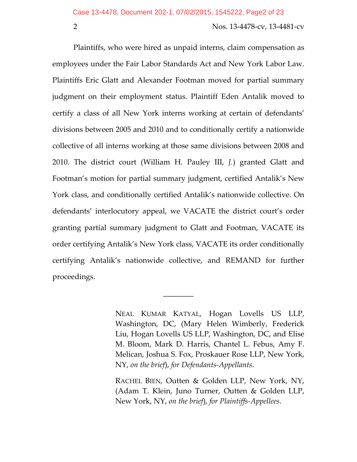Plaintiffs, who were hired as unpaid interns, claim compensation as employees under the Fair Labor Standards Act and New York Labor Law. Plaintiffs Eric Glatt and Alexander Footman moved for partial summary judgment on their employment status. Plaintiff Eden Antalik moved to certify a class of all New York interns working at certain of defendants' divisions between 2005 and 2010 and to conditionally certify a nationwide collective of all interns working at those same divisions between 2008 and 2010. The district court (William H. Pauley III, *J.*) granted Glatt and Footman's motion for partial summary judgment, certified Antalik's New York class, and conditionally certified Antalik's nationwide collective. On defendants' interlocutory appeal, we VACATE the district court's order granting partial summary judgment to Glatt and Footman, VACATE its order certifying Antalik's New York class, VACATE its order conditionally certifying Antalik's nationwide collective, and REMAND for further proceedings.

\_\_\_\_\_\_\_\_

RACHEL BIEN, Outten & Golden LLP, New York, NY, (Adam T. Klein, Juno Turner, Outten & Golden LLP, New York, NY, *on the brief*), *for Plaintiffs‐Appellees*.

NEAL KUMAR KATYAL, Hogan Lovells US LLP, Washington, DC, (Mary Helen Wimberly, Frederick Liu, Hogan Lovells US LLP, Washington, DC, and Elise M. Bloom, Mark D. Harris, Chantel L. Febus, Amy F. Melican, Joshua S. Fox, Proskauer Rose LLP, New York, NY, *on the brief*), *for Defendants‐Appellants*.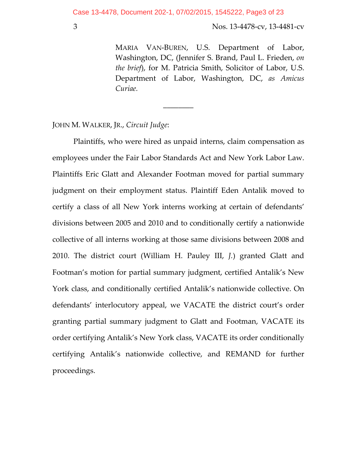\_\_\_\_\_\_\_\_

3 Nos. 13‐4478‐cv, 13‐4481‐cv

MARIA VAN‐BUREN, U.S. Department of Labor, Washington, DC, (Jennifer S. Brand, Paul L. Frieden, *on the brief*), for M. Patricia Smith, Solicitor of Labor, U.S. Department of Labor, Washington, DC, *as Amicus Curiae.*

JOHN M. WALKER, JR., *Circuit Judge*:

Plaintiffs, who were hired as unpaid interns, claim compensation as employees under the Fair Labor Standards Act and New York Labor Law. Plaintiffs Eric Glatt and Alexander Footman moved for partial summary judgment on their employment status. Plaintiff Eden Antalik moved to certify a class of all New York interns working at certain of defendants' divisions between 2005 and 2010 and to conditionally certify a nationwide collective of all interns working at those same divisions between 2008 and 2010. The district court (William H. Pauley III, *J.*) granted Glatt and Footman's motion for partial summary judgment, certified Antalik's New York class, and conditionally certified Antalik's nationwide collective. On defendants' interlocutory appeal, we VACATE the district court's order granting partial summary judgment to Glatt and Footman, VACATE its order certifying Antalik's New York class, VACATE its order conditionally certifying Antalik's nationwide collective, and REMAND for further proceedings.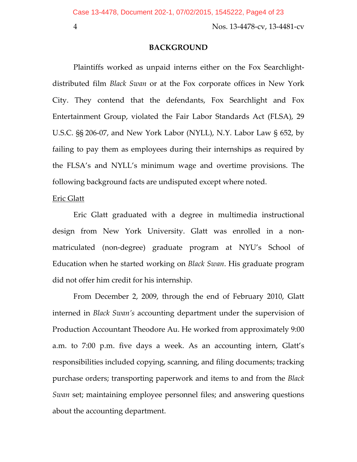#### **BACKGROUND**

Plaintiffs worked as unpaid interns either on the Fox Searchlight‐ distributed film *Black Swan* or at the Fox corporate offices in New York City. They contend that the defendants, Fox Searchlight and Fox Entertainment Group, violated the Fair Labor Standards Act (FLSA), 29 U.S.C. §§ 206‐07, and New York Labor (NYLL), N.Y. Labor Law § 652, by failing to pay them as employees during their internships as required by the FLSA's and NYLL's minimum wage and overtime provisions. The following background facts are undisputed except where noted.

#### Eric Glatt

Eric Glatt graduated with a degree in multimedia instructional design from New York University. Glatt was enrolled in a non‐ matriculated (non‐degree) graduate program at NYU's School of Education when he started working on *Black Swan*. His graduate program did not offer him credit for his internship.

From December 2, 2009, through the end of February 2010, Glatt interned in *Black Swan's* accounting department under the supervision of Production Accountant Theodore Au. He worked from approximately 9:00 a.m. to 7:00 p.m. five days a week. As an accounting intern, Glatt's responsibilities included copying, scanning, and filing documents; tracking purchase orders; transporting paperwork and items to and from the *Black Swan* set; maintaining employee personnel files; and answering questions about the accounting department.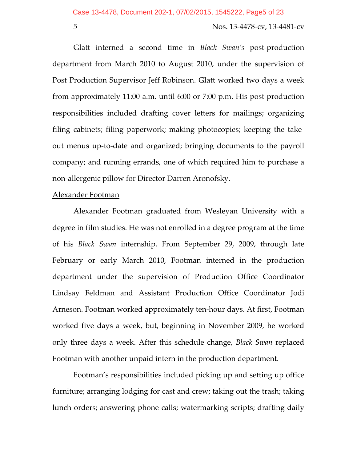Glatt interned a second time in *Black Swan's* post‐production department from March 2010 to August 2010, under the supervision of Post Production Supervisor Jeff Robinson. Glatt worked two days a week from approximately 11:00 a.m. until 6:00 or 7:00 p.m. His post‐production responsibilities included drafting cover letters for mailings; organizing filing cabinets; filing paperwork; making photocopies; keeping the take‐ out menus up‐to‐date and organized; bringing documents to the payroll company; and running errands, one of which required him to purchase a non‐allergenic pillow for Director Darren Aronofsky.

#### Alexander Footman

Alexander Footman graduated from Wesleyan University with a degree in film studies. He was not enrolled in a degree program at the time of his *Black Swan* internship. From September 29, 2009, through late February or early March 2010, Footman interned in the production department under the supervision of Production Office Coordinator Lindsay Feldman and Assistant Production Office Coordinator Jodi Arneson. Footman worked approximately ten‐hour days. At first, Footman worked five days a week, but, beginning in November 2009, he worked only three days a week. After this schedule change, *Black Swan* replaced Footman with another unpaid intern in the production department.

Footman's responsibilities included picking up and setting up office furniture; arranging lodging for cast and crew; taking out the trash; taking lunch orders; answering phone calls; watermarking scripts; drafting daily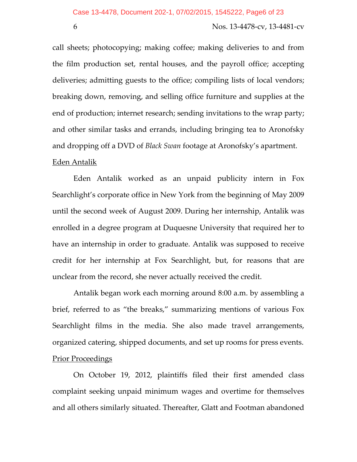call sheets; photocopying; making coffee; making deliveries to and from the film production set, rental houses, and the payroll office; accepting deliveries; admitting guests to the office; compiling lists of local vendors; breaking down, removing, and selling office furniture and supplies at the end of production; internet research; sending invitations to the wrap party; and other similar tasks and errands, including bringing tea to Aronofsky and dropping off a DVD of *Black Swan* footage at Aronofsky's apartment.

## <u>Eden Antalik</u>

Eden Antalik worked as an unpaid publicity intern in Fox Searchlight's corporate office in New York from the beginning of May 2009 until the second week of August 2009. During her internship, Antalik was enrolled in a degree program at Duquesne University that required her to have an internship in order to graduate. Antalik was supposed to receive credit for her internship at Fox Searchlight, but, for reasons that are unclear from the record, she never actually received the credit.

Antalik began work each morning around 8:00 a.m. by assembling a brief, referred to as "the breaks," summarizing mentions of various Fox Searchlight films in the media. She also made travel arrangements, organized catering, shipped documents, and set up rooms for press events. **Prior Proceedings** 

On October 19, 2012, plaintiffs filed their first amended class complaint seeking unpaid minimum wages and overtime for themselves and all others similarly situated. Thereafter, Glatt and Footman abandoned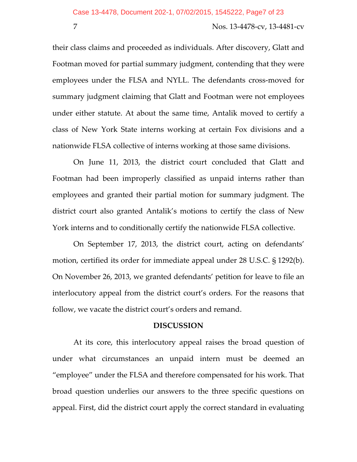their class claims and proceeded as individuals. After discovery, Glatt and Footman moved for partial summary judgment, contending that they were employees under the FLSA and NYLL. The defendants cross‐moved for summary judgment claiming that Glatt and Footman were not employees under either statute. At about the same time, Antalik moved to certify a class of New York State interns working at certain Fox divisions and a nationwide FLSA collective of interns working at those same divisions.

On June 11, 2013, the district court concluded that Glatt and Footman had been improperly classified as unpaid interns rather than employees and granted their partial motion for summary judgment. The district court also granted Antalik's motions to certify the class of New York interns and to conditionally certify the nationwide FLSA collective.

On September 17, 2013, the district court, acting on defendants' motion, certified its order for immediate appeal under 28 U.S.C. § 1292(b). On November 26, 2013, we granted defendants' petition for leave to file an interlocutory appeal from the district court's orders. For the reasons that follow, we vacate the district court's orders and remand.

#### **DISCUSSION**

At its core, this interlocutory appeal raises the broad question of under what circumstances an unpaid intern must be deemed an "employee" under the FLSA and therefore compensated for his work. That broad question underlies our answers to the three specific questions on appeal. First, did the district court apply the correct standard in evaluating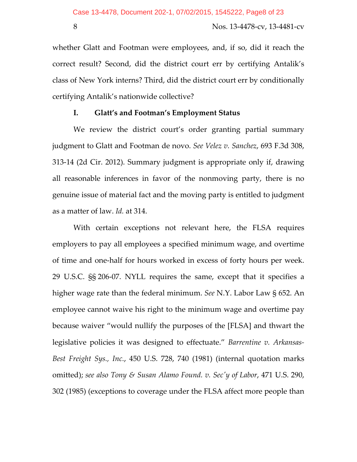whether Glatt and Footman were employees, and, if so, did it reach the correct result? Second, did the district court err by certifying Antalik's class of New York interns? Third, did the district court err by conditionally certifying Antalik's nationwide collective?

# **I. Glatt's and Footman's Employment Status**

We review the district court's order granting partial summary judgment to Glatt and Footman de novo. *See Velez v. Sanchez*, 693 F.3d 308, 313‐14 (2d Cir. 2012). Summary judgment is appropriate only if, drawing all reasonable inferences in favor of the nonmoving party, there is no genuine issue of material fact and the moving party is entitled to judgment as a matter of law. *Id.* at 314.

With certain exceptions not relevant here, the FLSA requires employers to pay all employees a specified minimum wage, and overtime of time and one‐half for hours worked in excess of forty hours per week. 29 U.S.C. §§ 206‐07. NYLL requires the same, except that it specifies a higher wage rate than the federal minimum. *See* N.Y. Labor Law § 652. An employee cannot waive his right to the minimum wage and overtime pay because waiver "would nullify the purposes of the [FLSA] and thwart the legislative policies it was designed to effectuate." *Barrentine v. Arkansas‐ Best Freight Sys., Inc.*, 450 U.S. 728, 740 (1981) (internal quotation marks omitted); *see also Tony & Susan Alamo Found. v. Secʹy of Labor*, 471 U.S. 290, 302 (1985) (exceptions to coverage under the FLSA affect more people than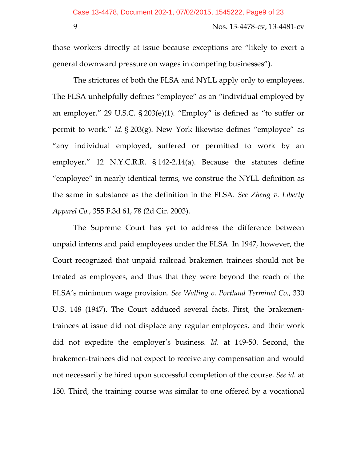those workers directly at issue because exceptions are "likely to exert a general downward pressure on wages in competing businesses").

The strictures of both the FLSA and NYLL apply only to employees. The FLSA unhelpfully defines "employee" as an "individual employed by an employer." 29 U.S.C. § 203(e)(1). "Employ" is defined as "to suffer or permit to work." *Id.* § 203(g). New York likewise defines "employee" as "any individual employed, suffered or permitted to work by an employer." 12 N.Y.C.R.R. § 142‐2.14(a). Because the statutes define "employee" in nearly identical terms, we construe the NYLL definition as the same in substance as the definition in the FLSA. *See Zheng v. Liberty Apparel Co.*, 355 F.3d 61, 78 (2d Cir. 2003).

The Supreme Court has yet to address the difference between unpaid interns and paid employees under the FLSA. In 1947, however, the Court recognized that unpaid railroad brakemen trainees should not be treated as employees, and thus that they were beyond the reach of the FLSA's minimum wage provision. *See Walling v. Portland Terminal Co.*, 330 U.S. 148 (1947). The Court adduced several facts. First, the brakemen‐ trainees at issue did not displace any regular employees, and their work did not expedite the employer's business. *Id.* at 149‐50. Second, the brakemen‐trainees did not expect to receive any compensation and would not necessarily be hired upon successful completion of the course. *See id.* at 150. Third, the training course was similar to one offered by a vocational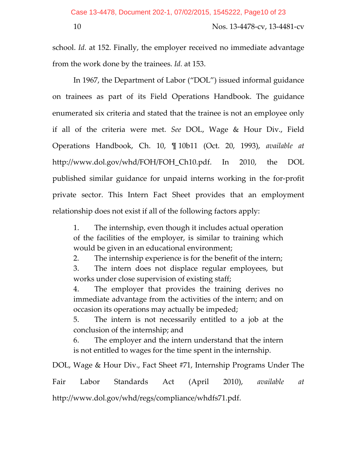school. *Id.* at 152. Finally, the employer received no immediate advantage from the work done by the trainees. *Id.* at 153.

In 1967, the Department of Labor ("DOL") issued informal guidance on trainees as part of its Field Operations Handbook. The guidance enumerated six criteria and stated that the trainee is not an employee only if all of the criteria were met. *See* DOL, Wage & Hour Div., Field Operations Handbook, Ch. 10, ¶ 10b11 (Oct. 20, 1993), *available at* http://www.dol.gov/whd/FOH/FOH\_Ch10.pdf. In 2010, the DOL published similar guidance for unpaid interns working in the for‐profit private sector. This Intern Fact Sheet provides that an employment relationship does not exist if all of the following factors apply:

1. The internship, even though it includes actual operation of the facilities of the employer, is similar to training which would be given in an educational environment;

2. The internship experience is for the benefit of the intern;

3. The intern does not displace regular employees, but works under close supervision of existing staff;

4. The employer that provides the training derives no immediate advantage from the activities of the intern; and on occasion its operations may actually be impeded;

5. The intern is not necessarily entitled to a job at the conclusion of the internship; and

6. The employer and the intern understand that the intern is not entitled to wages for the time spent in the internship.

DOL, Wage & Hour Div., Fact Sheet #71, Internship Programs Under The

Fair Labor Standards Act (April 2010), *available at* http://www.dol.gov/whd/regs/compliance/whdfs71.pdf.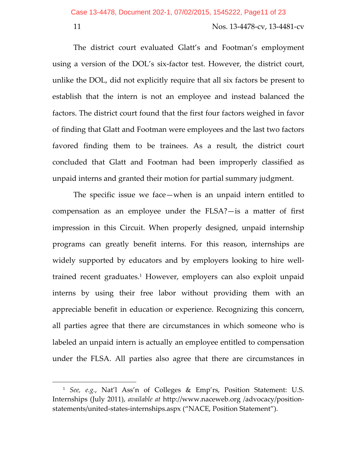$\overline{\phantom{a}}$ 

#### 11 Nos. 13‐4478‐cv, 13‐4481‐cv

The district court evaluated Glatt's and Footman's employment using a version of the DOL's six‐factor test. However, the district court, unlike the DOL, did not explicitly require that all six factors be present to establish that the intern is not an employee and instead balanced the factors. The district court found that the first four factors weighed in favor of finding that Glatt and Footman were employees and the last two factors favored finding them to be trainees. As a result, the district court concluded that Glatt and Footman had been improperly classified as unpaid interns and granted their motion for partial summary judgment.

The specific issue we face—when is an unpaid intern entitled to compensation as an employee under the FLSA?—is a matter of first impression in this Circuit. When properly designed, unpaid internship programs can greatly benefit interns. For this reason, internships are widely supported by educators and by employers looking to hire well‐ trained recent graduates.1 However, employers can also exploit unpaid interns by using their free labor without providing them with an appreciable benefit in education or experience. Recognizing this concern, all parties agree that there are circumstances in which someone who is labeled an unpaid intern is actually an employee entitled to compensation under the FLSA. All parties also agree that there are circumstances in

<sup>1</sup> *See, e.g.*, Nat'l Ass'n of Colleges & Emp'rs, Position Statement: U.S. Internships (July 2011), *available at* http://www.naceweb.org /advocacy/position‐ statements/united‐states‐internships.aspx ("NACE, Position Statement").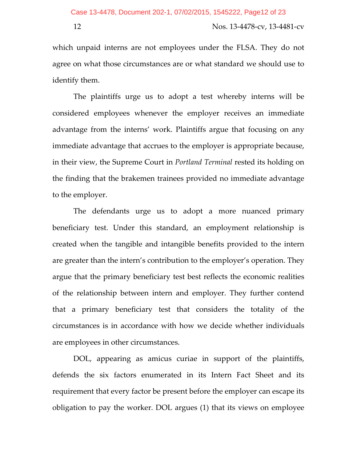which unpaid interns are not employees under the FLSA. They do not agree on what those circumstances are or what standard we should use to identify them.

The plaintiffs urge us to adopt a test whereby interns will be considered employees whenever the employer receives an immediate advantage from the interns' work. Plaintiffs argue that focusing on any immediate advantage that accrues to the employer is appropriate because, in their view, the Supreme Court in *Portland Terminal* rested its holding on the finding that the brakemen trainees provided no immediate advantage to the employer.

The defendants urge us to adopt a more nuanced primary beneficiary test. Under this standard, an employment relationship is created when the tangible and intangible benefits provided to the intern are greater than the intern's contribution to the employer's operation. They argue that the primary beneficiary test best reflects the economic realities of the relationship between intern and employer. They further contend that a primary beneficiary test that considers the totality of the circumstances is in accordance with how we decide whether individuals are employees in other circumstances.

DOL, appearing as amicus curiae in support of the plaintiffs, defends the six factors enumerated in its Intern Fact Sheet and its requirement that every factor be present before the employer can escape its obligation to pay the worker. DOL argues (1) that its views on employee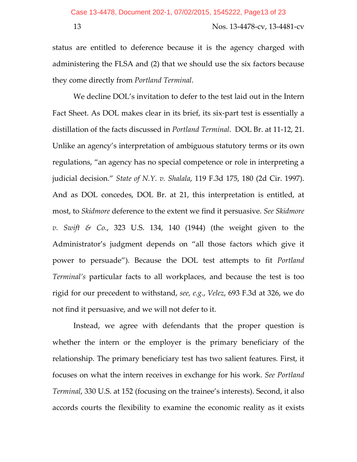status are entitled to deference because it is the agency charged with administering the FLSA and (2) that we should use the six factors because they come directly from *Portland Terminal*.

We decline DOL's invitation to defer to the test laid out in the Intern Fact Sheet. As DOL makes clear in its brief, its six‐part test is essentially a distillation of the facts discussed in *Portland Terminal*. DOL Br. at 11‐12, 21. Unlike an agency's interpretation of ambiguous statutory terms or its own regulations, "an agency has no special competence or role in interpreting a judicial decision." *State of N.Y. v. Shalala*, 119 F.3d 175, 180 (2d Cir. 1997). And as DOL concedes, DOL Br. at 21, this interpretation is entitled, at most, to *Skidmore* deference to the extent we find it persuasive. *See Skidmore v. Swift & Co.*, 323 U.S. 134, 140 (1944) (the weight given to the Administrator's judgment depends on "all those factors which give it power to persuade"). Because the DOL test attempts to fit *Portland Terminal's* particular facts to all workplaces, and because the test is too rigid for our precedent to withstand, *see, e.g.*, *Velez*, 693 F.3d at 326, we do not find it persuasive, and we will not defer to it.

Instead, we agree with defendants that the proper question is whether the intern or the employer is the primary beneficiary of the relationship. The primary beneficiary test has two salient features. First, it focuses on what the intern receives in exchange for his work. *See Portland Terminal*, 330 U.S. at 152 (focusing on the trainee's interests). Second, it also accords courts the flexibility to examine the economic reality as it exists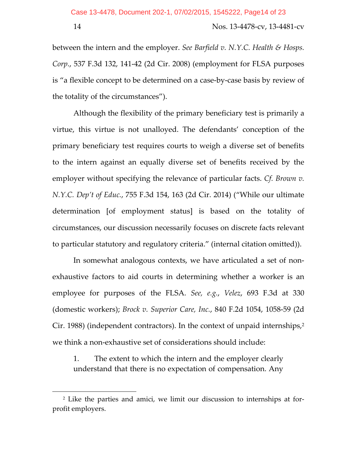$\overline{\phantom{a}}$ 

14 Nos. 13‐4478‐cv, 13‐4481‐cv

between the intern and the employer. *See Barfield v. N.Y.C. Health & Hosps. Corp.*, 537 F.3d 132, 141‐42 (2d Cir. 2008) (employment for FLSA purposes is "a flexible concept to be determined on a case‐by‐case basis by review of the totality of the circumstances").

Although the flexibility of the primary beneficiary test is primarily a virtue, this virtue is not unalloyed. The defendants' conception of the primary beneficiary test requires courts to weigh a diverse set of benefits to the intern against an equally diverse set of benefits received by the employer without specifying the relevance of particular facts. *Cf. Brown v. N.Y.C. Dep't of Educ.*, 755 F.3d 154, 163 (2d Cir. 2014) ("While our ultimate determination [of employment status] is based on the totality of circumstances, our discussion necessarily focuses on discrete facts relevant to particular statutory and regulatory criteria." (internal citation omitted)).

In somewhat analogous contexts, we have articulated a set of nonexhaustive factors to aid courts in determining whether a worker is an employee for purposes of the FLSA. *See, e.g.*, *Velez*, 693 F.3d at 330 (domestic workers); *Brock v. Superior Care, Inc.*, 840 F.2d 1054, 1058‐59 (2d Cir. 1988) (independent contractors). In the context of unpaid internships,2 we think a non‐exhaustive set of considerations should include:

1. The extent to which the intern and the employer clearly understand that there is no expectation of compensation. Any

<sup>2</sup> Like the parties and amici, we limit our discussion to internships at for‐ profit employers.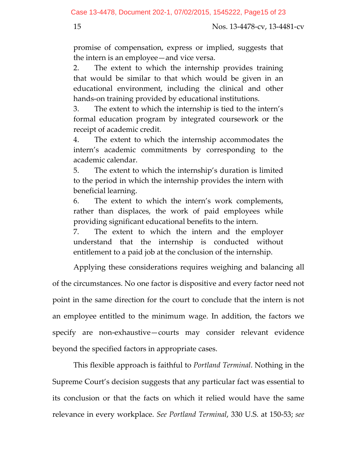promise of compensation, express or implied, suggests that the intern is an employee—and vice versa.

2. The extent to which the internship provides training that would be similar to that which would be given in an educational environment, including the clinical and other hands‐on training provided by educational institutions.

3. The extent to which the internship is tied to the intern's formal education program by integrated coursework or the receipt of academic credit.

4. The extent to which the internship accommodates the intern's academic commitments by corresponding to the academic calendar.

5. The extent to which the internship's duration is limited to the period in which the internship provides the intern with beneficial learning.

6. The extent to which the intern's work complements, rather than displaces, the work of paid employees while providing significant educational benefits to the intern.

7. The extent to which the intern and the employer understand that the internship is conducted without entitlement to a paid job at the conclusion of the internship.

Applying these considerations requires weighing and balancing all of the circumstances. No one factor is dispositive and every factor need not point in the same direction for the court to conclude that the intern is not an employee entitled to the minimum wage. In addition, the factors we specify are non-exhaustive—courts may consider relevant evidence beyond the specified factors in appropriate cases.

This flexible approach is faithful to *Portland Terminal*. Nothing in the Supreme Court's decision suggests that any particular fact was essential to its conclusion or that the facts on which it relied would have the same relevance in every workplace. *See Portland Terminal*, 330 U.S. at 150‐53; *see*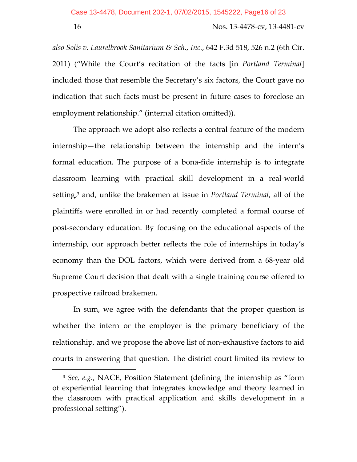$\overline{\phantom{a}}$ 

16 Nos. 13‐4478‐cv, 13‐4481‐cv

*also Solis v. Laurelbrook Sanitarium & Sch., Inc.*, 642 F.3d 518, 526 n.2 (6th Cir. 2011) ("While the Court's recitation of the facts [in *Portland Terminal*] included those that resemble the Secretary's six factors, the Court gave no indication that such facts must be present in future cases to foreclose an employment relationship." (internal citation omitted)).

The approach we adopt also reflects a central feature of the modern internship—the relationship between the internship and the intern's formal education. The purpose of a bona‐fide internship is to integrate classroom learning with practical skill development in a real‐world setting,3 and, unlike the brakemen at issue in *Portland Terminal*, all of the plaintiffs were enrolled in or had recently completed a formal course of post‐secondary education. By focusing on the educational aspects of the internship, our approach better reflects the role of internships in today's economy than the DOL factors, which were derived from a 68‐year old Supreme Court decision that dealt with a single training course offered to prospective railroad brakemen.

In sum, we agree with the defendants that the proper question is whether the intern or the employer is the primary beneficiary of the relationship, and we propose the above list of non‐exhaustive factors to aid courts in answering that question. The district court limited its review to

<sup>3</sup> *See, e.g.*, NACE, Position Statement (defining the internship as "form of experiential learning that integrates knowledge and theory learned in the classroom with practical application and skills development in a professional setting").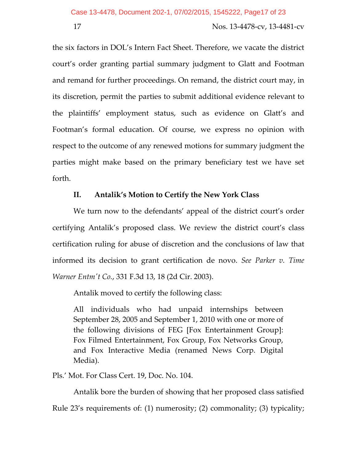the six factors in DOL's Intern Fact Sheet. Therefore, we vacate the district court's order granting partial summary judgment to Glatt and Footman and remand for further proceedings. On remand, the district court may, in its discretion, permit the parties to submit additional evidence relevant to the plaintiffs' employment status, such as evidence on Glatt's and Footman's formal education. Of course, we express no opinion with respect to the outcome of any renewed motions for summary judgment the parties might make based on the primary beneficiary test we have set forth.

# **II. Antalik's Motion to Certify the New York Class**

We turn now to the defendants' appeal of the district court's order certifying Antalik's proposed class. We review the district court's class certification ruling for abuse of discretion and the conclusions of law that informed its decision to grant certification de novo. *See Parker v. Time Warner Entmʹt Co.*, 331 F.3d 13, 18 (2d Cir. 2003).

Antalik moved to certify the following class:

All individuals who had unpaid internships between September 28, 2005 and September 1, 2010 with one or more of the following divisions of FEG [Fox Entertainment Group]: Fox Filmed Entertainment, Fox Group, Fox Networks Group, and Fox Interactive Media (renamed News Corp. Digital Media).

Pls.' Mot. For Class Cert. 19, Doc. No. 104.

Antalik bore the burden of showing that her proposed class satisfied

Rule 23's requirements of: (1) numerosity; (2) commonality; (3) typicality;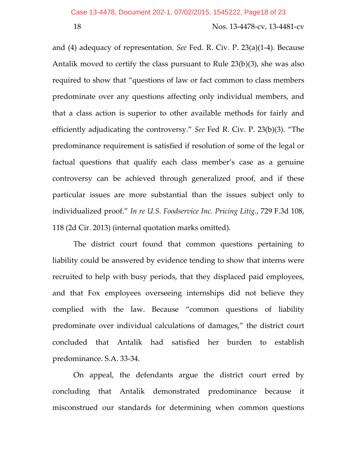and (4) adequacy of representation. *See* Fed. R. Civ. P. 23(a)(1‐4). Because Antalik moved to certify the class pursuant to Rule 23(b)(3), she was also required to show that "questions of law or fact common to class members predominate over any questions affecting only individual members, and that a class action is superior to other available methods for fairly and efficiently adjudicating the controversy." *See* Fed R. Civ. P. 23(b)(3). "The predominance requirement is satisfied if resolution of some of the legal or factual questions that qualify each class member's case as a genuine controversy can be achieved through generalized proof, and if these particular issues are more substantial than the issues subject only to individualized proof." *In re U.S. Foodservice Inc. Pricing Litig.*, 729 F.3d 108, 118 (2d Cir. 2013) (internal quotation marks omitted).

The district court found that common questions pertaining to liability could be answered by evidence tending to show that interns were recruited to help with busy periods, that they displaced paid employees, and that Fox employees overseeing internships did not believe they complied with the law. Because "common questions of liability predominate over individual calculations of damages," the district court concluded that Antalik had satisfied her burden to establish predominance. S.A. 33‐34.

On appeal, the defendants argue the district court erred by concluding that Antalik demonstrated predominance because it misconstrued our standards for determining when common questions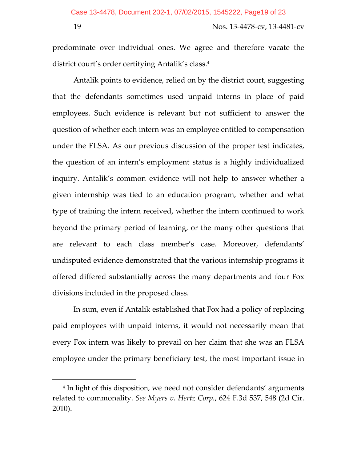$\overline{\phantom{a}}$ 

#### 19 Nos. 13‐4478‐cv, 13‐4481‐cv

predominate over individual ones. We agree and therefore vacate the district court's order certifying Antalik's class.<sup>4</sup>

Antalik points to evidence, relied on by the district court, suggesting that the defendants sometimes used unpaid interns in place of paid employees. Such evidence is relevant but not sufficient to answer the question of whether each intern was an employee entitled to compensation under the FLSA. As our previous discussion of the proper test indicates, the question of an intern's employment status is a highly individualized inquiry. Antalik's common evidence will not help to answer whether a given internship was tied to an education program, whether and what type of training the intern received, whether the intern continued to work beyond the primary period of learning, or the many other questions that are relevant to each class member's case. Moreover, defendants' undisputed evidence demonstrated that the various internship programs it offered differed substantially across the many departments and four Fox divisions included in the proposed class.

In sum, even if Antalik established that Fox had a policy of replacing paid employees with unpaid interns, it would not necessarily mean that every Fox intern was likely to prevail on her claim that she was an FLSA employee under the primary beneficiary test, the most important issue in

<sup>4</sup> In light of this disposition, we need not consider defendants' arguments related to commonality. *See Myers v. Hertz Corp.*, 624 F.3d 537, 548 (2d Cir. 2010).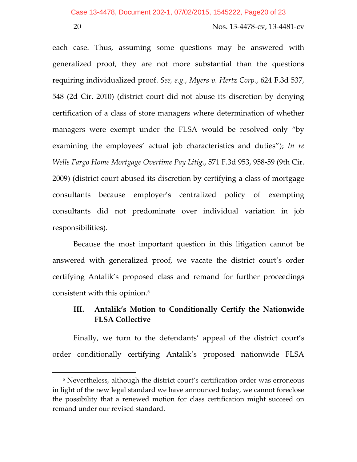$\overline{a}$ 

20 Nos. 13‐4478‐cv, 13‐4481‐cv

each case. Thus, assuming some questions may be answered with generalized proof, they are not more substantial than the questions requiring individualized proof. *See, e.g.*, *Myers v. Hertz Corp.*, 624 F.3d 537, 548 (2d Cir. 2010) (district court did not abuse its discretion by denying certification of a class of store managers where determination of whether managers were exempt under the FLSA would be resolved only "by examining the employees' actual job characteristics and duties"); *In re Wells Fargo Home Mortgage Overtime Pay Litig.*, 571 F.3d 953, 958‐59 (9th Cir. 2009) (district court abused its discretion by certifying a class of mortgage consultants because employer's centralized policy of exempting consultants did not predominate over individual variation in job responsibilities).

Because the most important question in this litigation cannot be answered with generalized proof, we vacate the district court's order certifying Antalik's proposed class and remand for further proceedings consistent with this opinion.5

# **III. Antalik's Motion to Conditionally Certify the Nationwide FLSA Collective**

Finally, we turn to the defendants' appeal of the district court's order conditionally certifying Antalik's proposed nationwide FLSA

<sup>&</sup>lt;sup>5</sup> Nevertheless, although the district court's certification order was erroneous in light of the new legal standard we have announced today, we cannot foreclose the possibility that a renewed motion for class certification might succeed on remand under our revised standard.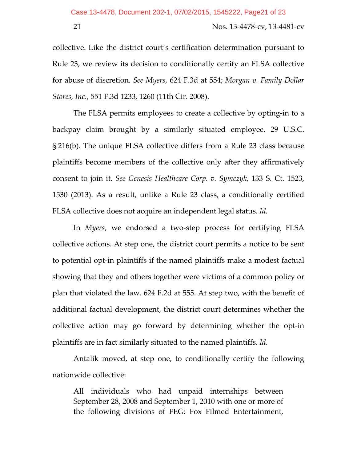collective. Like the district court's certification determination pursuant to Rule 23, we review its decision to conditionally certify an FLSA collective for abuse of discretion. *See Myers*, 624 F.3d at 554; *Morgan v. Family Dollar Stores, Inc.*, 551 F.3d 1233, 1260 (11th Cir. 2008).

The FLSA permits employees to create a collective by opting‐in to a backpay claim brought by a similarly situated employee. 29 U.S.C. § 216(b). The unique FLSA collective differs from a Rule 23 class because plaintiffs become members of the collective only after they affirmatively consent to join it. *See Genesis Healthcare Corp. v. Symczyk*, 133 S. Ct. 1523, 1530 (2013). As a result, unlike a Rule 23 class, a conditionally certified FLSA collective does not acquire an independent legal status. *Id.*

In *Myers*, we endorsed a two-step process for certifying FLSA collective actions. At step one, the district court permits a notice to be sent to potential opt‐in plaintiffs if the named plaintiffs make a modest factual showing that they and others together were victims of a common policy or plan that violated the law. 624 F.2d at 555. At step two, with the benefit of additional factual development, the district court determines whether the collective action may go forward by determining whether the opt‐in plaintiffs are in fact similarly situated to the named plaintiffs. *Id.*

Antalik moved, at step one, to conditionally certify the following nationwide collective:

All individuals who had unpaid internships between September 28, 2008 and September 1, 2010 with one or more of the following divisions of FEG: Fox Filmed Entertainment,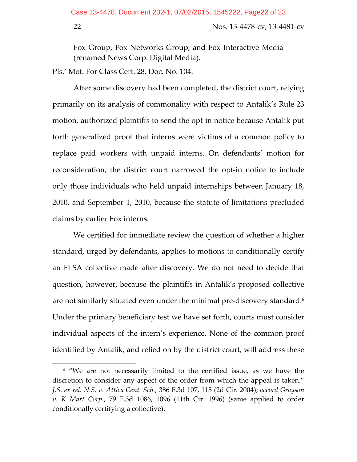$\overline{a}$ 

### 22 Nos. 13‐4478‐cv, 13‐4481‐cv

Fox Group, Fox Networks Group, and Fox Interactive Media (renamed News Corp. Digital Media).

Pls.' Mot. For Class Cert. 28, Doc. No. 104.

After some discovery had been completed, the district court, relying primarily on its analysis of commonality with respect to Antalik's Rule 23 motion, authorized plaintiffs to send the opt‐in notice because Antalik put forth generalized proof that interns were victims of a common policy to replace paid workers with unpaid interns. On defendants' motion for reconsideration, the district court narrowed the opt‐in notice to include only those individuals who held unpaid internships between January 18, 2010, and September 1, 2010, because the statute of limitations precluded claims by earlier Fox interns.

We certified for immediate review the question of whether a higher standard, urged by defendants, applies to motions to conditionally certify an FLSA collective made after discovery. We do not need to decide that question, however, because the plaintiffs in Antalik's proposed collective are not similarly situated even under the minimal pre-discovery standard.<sup>6</sup> Under the primary beneficiary test we have set forth, courts must consider individual aspects of the intern's experience. None of the common proof identified by Antalik, and relied on by the district court, will address these

<sup>6</sup> "We are not necessarily limited to the certified issue, as we have the discretion to consider any aspect of the order from which the appeal is taken." *J.S. ex rel. N.S. v. Attica Cent. Sch.*, 386 F.3d 107, 115 (2d Cir. 2004); *accord Grayson v. K Mart Corp.*, 79 F.3d 1086, 1096 (11th Cir. 1996) (same applied to order conditionally certifying a collective).